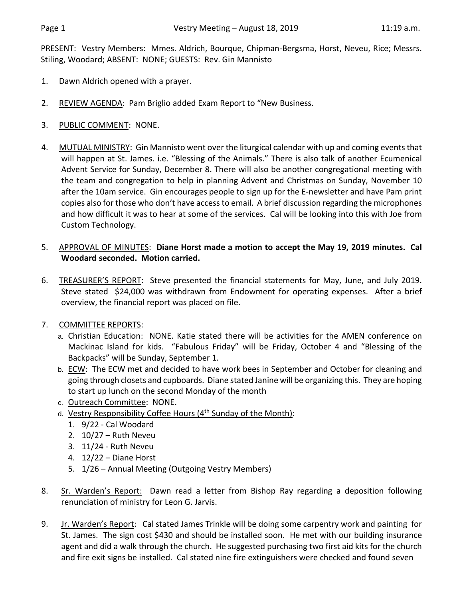PRESENT: Vestry Members: Mmes. Aldrich, Bourque, Chipman-Bergsma, Horst, Neveu, Rice; Messrs. Stiling, Woodard; ABSENT: NONE; GUESTS: Rev. Gin Mannisto

- 1. Dawn Aldrich opened with a prayer.
- 2. REVIEW AGENDA: Pam Briglio added Exam Report to "New Business.
- 3. PUBLIC COMMENT: NONE.
- 4. MUTUAL MINISTRY: Gin Mannisto went over the liturgical calendar with up and coming events that will happen at St. James. i.e. "Blessing of the Animals." There is also talk of another Ecumenical Advent Service for Sunday, December 8. There will also be another congregational meeting with the team and congregation to help in planning Advent and Christmas on Sunday, November 10 after the 10am service. Gin encourages people to sign up for the E-newsletter and have Pam print copies also for those who don't have accessto email. A brief discussion regarding the microphones and how difficult it was to hear at some of the services. Cal will be looking into this with Joe from Custom Technology.
- 5. APPROVAL OF MINUTES: **Diane Horst made a motion to accept the May 19, 2019 minutes. Cal Woodard seconded. Motion carried.**
- 6. TREASURER'S REPORT: Steve presented the financial statements for May, June, and July 2019. Steve stated \$24,000 was withdrawn from Endowment for operating expenses. After a brief overview, the financial report was placed on file.
- 7. COMMITTEE REPORTS:
	- a. Christian Education: NONE. Katie stated there will be activities for the AMEN conference on Mackinac Island for kids. "Fabulous Friday" will be Friday, October 4 and "Blessing of the Backpacks" will be Sunday, September 1.
	- b. ECW: The ECW met and decided to have work bees in September and October for cleaning and going through closets and cupboards. Diane stated Janine will be organizing this. They are hoping to start up lunch on the second Monday of the month
	- c. Outreach Committee: NONE.
	- d. Vestry Responsibility Coffee Hours (4th Sunday of the Month):
		- 1. 9/22 Cal Woodard
		- 2. 10/27 Ruth Neveu
		- 3. 11/24 Ruth Neveu
		- 4. 12/22 Diane Horst
		- 5. 1/26 Annual Meeting (Outgoing Vestry Members)
- 8. Sr. Warden's Report: Dawn read a letter from Bishop Ray regarding a deposition following renunciation of ministry for Leon G. Jarvis.
- 9. Jr. Warden's Report: Cal stated James Trinkle will be doing some carpentry work and painting for St. James. The sign cost \$430 and should be installed soon. He met with our building insurance agent and did a walk through the church. He suggested purchasing two first aid kits for the church and fire exit signs be installed. Cal stated nine fire extinguishers were checked and found seven